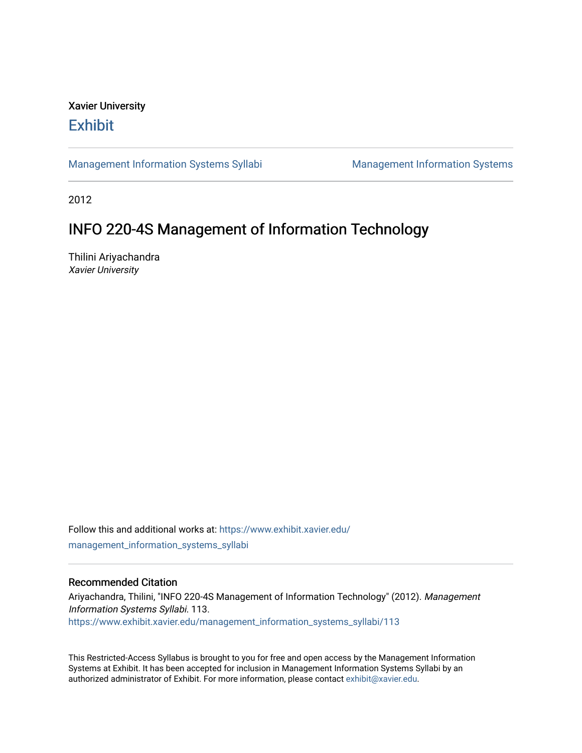# Xavier University **Exhibit**

[Management Information Systems Syllabi](https://www.exhibit.xavier.edu/management_information_systems_syllabi) Management Information Systems

2012

# INFO 220-4S Management of Information Technology

Thilini Ariyachandra Xavier University

Follow this and additional works at: [https://www.exhibit.xavier.edu/](https://www.exhibit.xavier.edu/management_information_systems_syllabi?utm_source=www.exhibit.xavier.edu%2Fmanagement_information_systems_syllabi%2F113&utm_medium=PDF&utm_campaign=PDFCoverPages) [management\\_information\\_systems\\_syllabi](https://www.exhibit.xavier.edu/management_information_systems_syllabi?utm_source=www.exhibit.xavier.edu%2Fmanagement_information_systems_syllabi%2F113&utm_medium=PDF&utm_campaign=PDFCoverPages) 

#### Recommended Citation

Ariyachandra, Thilini, "INFO 220-4S Management of Information Technology" (2012). Management Information Systems Syllabi. 113. [https://www.exhibit.xavier.edu/management\\_information\\_systems\\_syllabi/113](https://www.exhibit.xavier.edu/management_information_systems_syllabi/113?utm_source=www.exhibit.xavier.edu%2Fmanagement_information_systems_syllabi%2F113&utm_medium=PDF&utm_campaign=PDFCoverPages) 

This Restricted-Access Syllabus is brought to you for free and open access by the Management Information Systems at Exhibit. It has been accepted for inclusion in Management Information Systems Syllabi by an authorized administrator of Exhibit. For more information, please contact [exhibit@xavier.edu](mailto:exhibit@xavier.edu).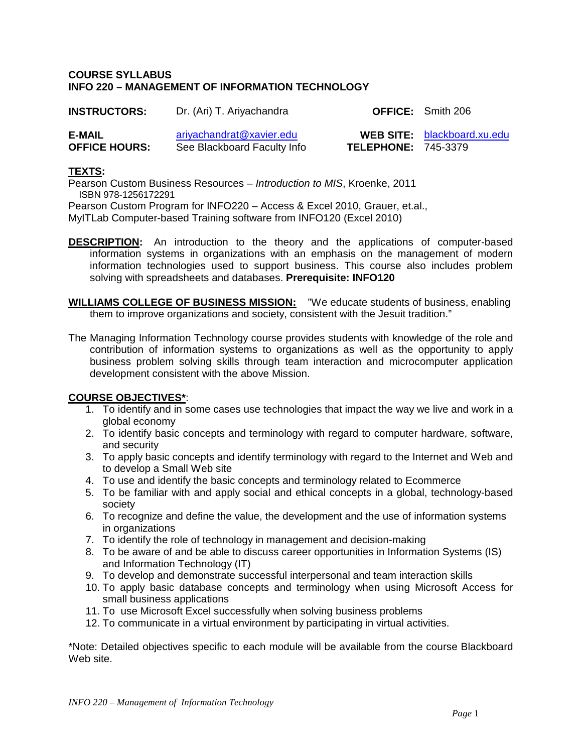#### **COURSE SYLLABUS INFO 220 – MANAGEMENT OF INFORMATION TECHNOLOGY**

| <b>INSTRUCTORS:</b>            | Dr. (Ari) T. Ariyachandra                               |                            | <b>OFFICE:</b> Smith 206           |
|--------------------------------|---------------------------------------------------------|----------------------------|------------------------------------|
| E-MAIL<br><b>OFFICE HOURS:</b> | ariyachandrat@xavier.edu<br>See Blackboard Faculty Info | <b>TELEPHONE: 745-3379</b> | <b>WEB SITE:</b> blackboard.xu.edu |

## **TEXTS:**

Pearson Custom Business Resources – *Introduction to MIS*, Kroenke, 2011 ISBN 978-1256172291 Pearson Custom Program for INFO220 – Access & Excel 2010, Grauer, et.al., MyITLab Computer-based Training software from INFO120 (Excel 2010)

- **DESCRIPTION:** An introduction to the theory and the applications of computer-based information systems in organizations with an emphasis on the management of modern information technologies used to support business. This course also includes problem solving with spreadsheets and databases. **Prerequisite: INFO120**
- **WILLIAMS COLLEGE OF BUSINESS MISSION:** "We educate students of business, enabling them to improve organizations and society, consistent with the Jesuit tradition."
- The Managing Information Technology course provides students with knowledge of the role and contribution of information systems to organizations as well as the opportunity to apply business problem solving skills through team interaction and microcomputer application development consistent with the above Mission.

# **COURSE OBJECTIVES\***:

- 1. To identify and in some cases use technologies that impact the way we live and work in a global economy
- 2. To identify basic concepts and terminology with regard to computer hardware, software, and security
- 3. To apply basic concepts and identify terminology with regard to the Internet and Web and to develop a Small Web site
- 4. To use and identify the basic concepts and terminology related to Ecommerce
- 5. To be familiar with and apply social and ethical concepts in a global, technology-based society
- 6. To recognize and define the value, the development and the use of information systems in organizations
- 7. To identify the role of technology in management and decision-making
- 8. To be aware of and be able to discuss career opportunities in Information Systems (IS) and Information Technology (IT)
- 9. To develop and demonstrate successful interpersonal and team interaction skills
- 10. To apply basic database concepts and terminology when using Microsoft Access for small business applications
- 11. To use Microsoft Excel successfully when solving business problems
- 12. To communicate in a virtual environment by participating in virtual activities.

\*Note: Detailed objectives specific to each module will be available from the course Blackboard Web site.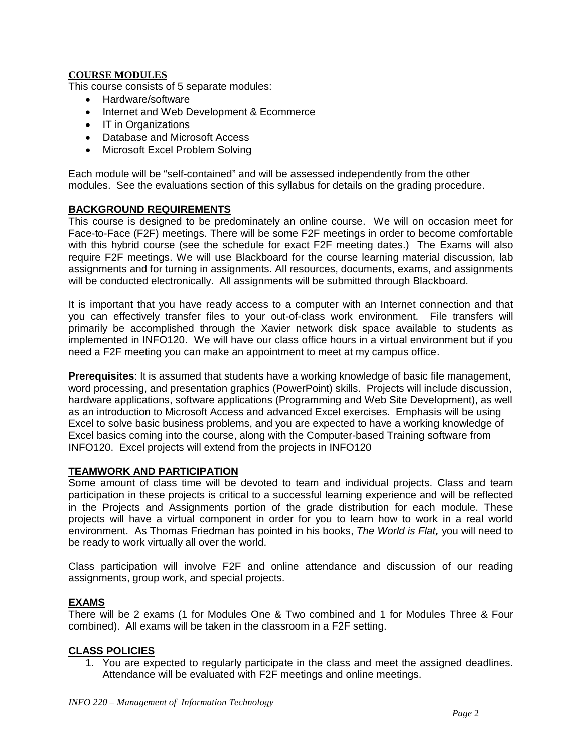# **COURSE MODULES**

This course consists of 5 separate modules:

- Hardware/software
- Internet and Web Development & Ecommerce
- IT in Organizations
- Database and Microsoft Access
- Microsoft Excel Problem Solving

Each module will be "self-contained" and will be assessed independently from the other modules. See the evaluations section of this syllabus for details on the grading procedure.

#### **BACKGROUND REQUIREMENTS**

This course is designed to be predominately an online course. We will on occasion meet for Face-to-Face (F2F) meetings. There will be some F2F meetings in order to become comfortable with this hybrid course (see the schedule for exact F2F meeting dates.) The Exams will also require F2F meetings. We will use Blackboard for the course learning material discussion, lab assignments and for turning in assignments. All resources, documents, exams, and assignments will be conducted electronically. All assignments will be submitted through Blackboard.

It is important that you have ready access to a computer with an Internet connection and that you can effectively transfer files to your out-of-class work environment. File transfers will primarily be accomplished through the Xavier network disk space available to students as implemented in INFO120. We will have our class office hours in a virtual environment but if you need a F2F meeting you can make an appointment to meet at my campus office.

**Prerequisites**: It is assumed that students have a working knowledge of basic file management, word processing, and presentation graphics (PowerPoint) skills. Projects will include discussion, hardware applications, software applications (Programming and Web Site Development), as well as an introduction to Microsoft Access and advanced Excel exercises. Emphasis will be using Excel to solve basic business problems, and you are expected to have a working knowledge of Excel basics coming into the course, along with the Computer-based Training software from INFO120. Excel projects will extend from the projects in INFO120

#### **TEAMWORK AND PARTICIPATION**

Some amount of class time will be devoted to team and individual projects. Class and team participation in these projects is critical to a successful learning experience and will be reflected in the Projects and Assignments portion of the grade distribution for each module. These projects will have a virtual component in order for you to learn how to work in a real world environment. As Thomas Friedman has pointed in his books, *The World is Flat,* you will need to be ready to work virtually all over the world.

Class participation will involve F2F and online attendance and discussion of our reading assignments, group work, and special projects.

# **EXAMS**

There will be 2 exams (1 for Modules One & Two combined and 1 for Modules Three & Four combined). All exams will be taken in the classroom in a F2F setting.

#### **CLASS POLICIES**

1. You are expected to regularly participate in the class and meet the assigned deadlines. Attendance will be evaluated with F2F meetings and online meetings.